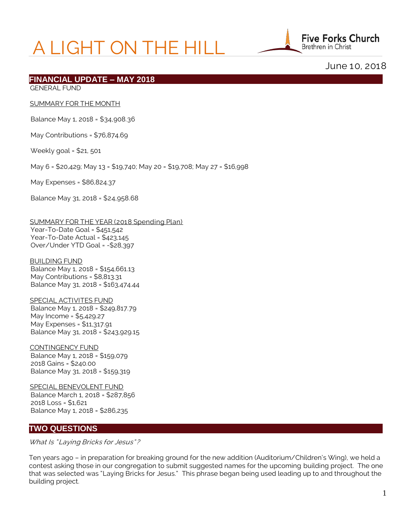# A LIGHT ON THE HILL



June 10, 2018

## **FINANCIAL UPDATE – MAY 2018**

GENERAL FUND

#### SUMMARY FOR THE MONTH

Balance May 1, 2018 = \$34,908.36

May Contributions = \$76,874.69

Weekly goal = \$21, 501

May 6 = \$20,429; May 13 = \$19,740; May 20 = \$19,708; May 27 = \$16,998

May Expenses = \$86,824.37

Balance May 31, 2018 = \$24,958.68

 SUMMARY FOR THE YEAR (2018 Spending Plan) Year-To-Date Goal = \$451,542 Year-To-Date Actual = \$423,145 Over/Under YTD Goal = -\$28,397

 BUILDING FUND Balance May 1, 2018 = \$154,661.13 May Contributions = \$8,813.31 Balance May 31, 2018 = \$163,474.44

 SPECIAL ACTIVITES FUND Balance May 1, 2018 = \$249,817.79 May Income = \$5,429.27 May Expenses = \$11,317.91 Balance May 31, 2018 = \$243,929.15

 CONTINGENCY FUND Balance May 1, 2018 = \$159,079 2018 Gains = \$240.00 Balance May 31, 2018 = \$159,319

 SPECIAL BENEVOLENT FUND Balance March 1, 2018 = \$287,856 2018 Loss = \$1,621 Balance May 1, 2018 = \$286,235

## **TWO QUESTIONS**

What Is "Laying Bricks for Jesus"?

Ten years ago – in preparation for breaking ground for the new addition (Auditorium/Children's Wing), we held a contest asking those in our congregation to submit suggested names for the upcoming building project. The one that was selected was "Laying Bricks for Jesus." This phrase began being used leading up to and throughout the building project.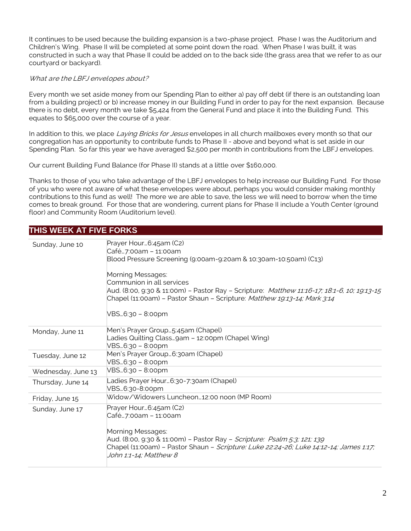It continues to be used because the building expansion is a two-phase project. Phase I was the Auditorium and Children's Wing. Phase II will be completed at some point down the road. When Phase I was built, it was constructed in such a way that Phase II could be added on to the back side (the grass area that we refer to as our courtyard or backyard).

## What are the LBFJ envelopes about?

Every month we set aside money from our Spending Plan to either a) pay off debt (if there is an outstanding loan from a building project) or b) increase money in our Building Fund in order to pay for the next expansion. Because there is no debt, every month we take \$5,424 from the General Fund and place it into the Building Fund. This equates to \$65,000 over the course of a year.

In addition to this, we place Laying Bricks for Jesus envelopes in all church mailboxes every month so that our congregation has an opportunity to contribute funds to Phase II - above and beyond what is set aside in our Spending Plan. So far this year we have averaged \$2,500 per month in contributions from the LBFJ envelopes.

Our current Building Fund Balance (for Phase II) stands at a little over \$160,000.

Thanks to those of you who take advantage of the LBFJ envelopes to help increase our Building Fund. For those of you who were not aware of what these envelopes were about, perhaps you would consider making monthly contributions to this fund as well! The more we are able to save, the less we will need to borrow when the time comes to break ground. For those that are wondering, current plans for Phase II include a Youth Center (ground floor) and Community Room (Auditorium level).

# **THIS WEEK AT FIVE FORKS**

| Sunday, June 10    | Prayer Hour6:45am (C2)<br> Café7:00am – 11:00am<br>Blood Pressure Screening (9:00am-9:20am & 10:30am-10:50am) (C13)<br>Morning Messages:<br>Communion in all services<br>Aud. (8:00, 9:30 & 11:00m) - Pastor Ray - Scripture: Matthew 11:16-17; 18:1-6, 10; 19:13-15<br>Chapel (11:00am) - Pastor Shaun - Scripture: Matthew 19:13-14; Mark 3:14<br>VBS6:30 – 8:00pm |
|--------------------|----------------------------------------------------------------------------------------------------------------------------------------------------------------------------------------------------------------------------------------------------------------------------------------------------------------------------------------------------------------------|
| Monday, June 11    | Men's Prayer Group5:45am (Chapel)<br>Ladies Quilting Class9am - 12:00pm (Chapel Wing)<br>VBS6:30 - 8:00pm                                                                                                                                                                                                                                                            |
| Tuesday, June 12   | Men's Prayer Group 6:30am (Chapel)<br>VBS6:30 - 8:00pm                                                                                                                                                                                                                                                                                                               |
| Wednesday, June 13 | VBS6:30 - 8:00pm                                                                                                                                                                                                                                                                                                                                                     |
| Thursday, June 14  | Ladies Prayer Hour6:30-7:30am (Chapel)<br>VBS6:30-8:00pm                                                                                                                                                                                                                                                                                                             |
| Friday, June 15    | Widow/Widowers Luncheon12:00 noon (MP Room)                                                                                                                                                                                                                                                                                                                          |
| Sunday, June 17    | Prayer Hour6:45am (C2)<br>Café…7:00am – 11:00am<br>Morning Messages:<br>Aud. (8:00, 9:30 & 11:00m) - Pastor Ray - <i>Scripture: Psalm 5:3; 121; 139</i><br>Chapel (11:00am) - Pastor Shaun - Scripture: Luke 22:24-26; Luke 14:12-14; James 1:17;<br><i>John 1:1-14; Matthew 8</i>                                                                                   |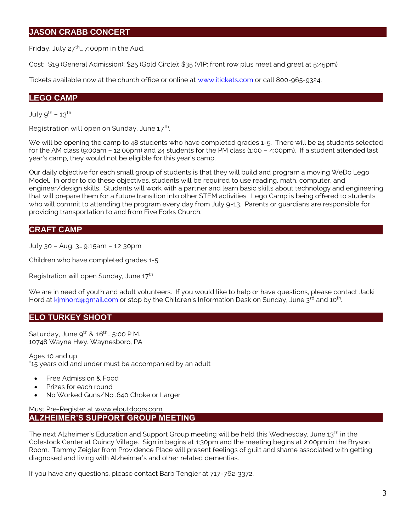# **JASON CRABB CONCERT**

Friday, July  $27^{th}$ ... 7:00pm in the Aud.

Cost: \$19 (General Admission); \$25 (Gold Circle); \$35 (VIP: front row plus meet and greet at 5:45pm)

Tickets available now at the church office or online at [www.itickets.com](http://www.itickets.com/) or call 800-965-9324.

## **LEGO CAMP**

July  $9^{th}$  –  $13^{th}$ 

Registration will open on Sunday, June  $17<sup>th</sup>$ . .

We will be opening the camp to 48 students who have completed grades 1-5. There will be 24 students selected for the AM class (9:00am – 12:00pm) and 24 students for the PM class (1:00 – 4:00pm). If a student attended last year's camp, they would not be eligible for this year's camp.

Our daily objective for each small group of students is that they will build and program a moving WeDo Lego Model. In order to do these objectives, students will be required to use reading, math, computer, and engineer/design skills. Students will work with a partner and learn basic skills about technology and engineering that will prepare them for a future transition into other STEM activities. Lego Camp is being offered to students who will commit to attending the program every day from July 9-13. Parents or guardians are responsible for providing transportation to and from Five Forks Church.

# **CRAFT CAMP**

July 30 – Aug. 3… 9:15am – 12:30pm

Children who have completed grades 1-5

Registration will open Sunday, June 17<sup>th</sup>

We are in need of youth and adult volunteers. If you would like to help or have questions, please contact Jacki Hord at kimhord@gmail.com or stop by the Children's Information Desk on Sunday, June 3<sup>rd</sup> and 10<sup>th</sup>. .

# **ELO TURKEY SHOOT**

Saturday, June  $9^{th}$  &  $16^{th}$ ...  $5:00$  P.M. 10748 Wayne Hwy. Waynesboro, PA

Ages 10 and up \*15 years old and under must be accompanied by an adult

- Free Admission & Food
- Prizes for each round
- No Worked Guns/No .640 Choke or Larger

Must Pre-Register at [www.eloutdoors.com](http://www.eloutdoors.com/) **ALZHEIMER'S SUPPORT GROUP MEETING**

The next Alzheimer's Education and Support Group meeting will be held this Wednesday, June  $13<sup>th</sup>$  in the Colestock Center at Quincy Village. Sign in begins at 1:30pm and the meeting begins at 2:00pm in the Bryson Room. Tammy Zeigler from Providence Place will present feelings of guilt and shame associated with getting diagnosed and living with Alzheimer's and other related dementias.

If you have any questions, please contact Barb Tengler at 717-762-3372.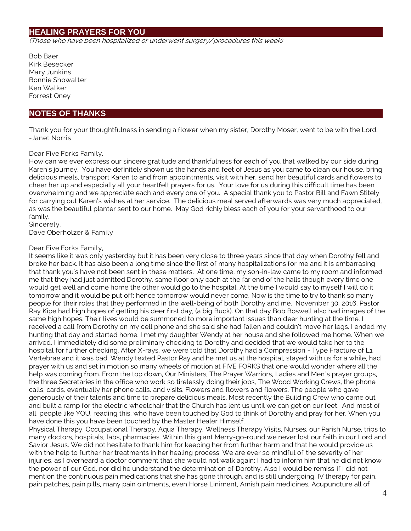# **HEALING PRAYERS FOR YOU**

(Those who have been hospitalized or underwent surgery/procedures this week)

Bob Baer Kirk Besecker Mary Junkins Bonnie Showalter Ken Walker Forrest Oney

## **NOTES OF THANKS**

Thank you for your thoughtfulness in sending a flower when my sister, Dorothy Moser, went to be with the Lord. -Janet Norris

## Dear Five Forks Family,

How can we ever express our sincere gratitude and thankfulness for each of you that walked by our side during Karen's journey. You have definitely shown us the hands and feet of Jesus as you came to clean our house, bring delicious meals, transport Karen to and from appointments, visit with her, send her beautiful cards and flowers to cheer her up and especially all your heartfelt prayers for us. Your love for us during this difficult time has been overwhelming and we appreciate each and every one of you. A special thank you to Pastor Bill and Fawn Stitely for carrying out Karen's wishes at her service. The delicious meal served afterwards was very much appreciated, as was the beautiful planter sent to our home. May God richly bless each of you for your servanthood to our family.

Sincerely, Dave Oberholzer & Family

## Dear Five Forks Family,

It seems like it was only yesterday but it has been very close to three years since that day when Dorothy fell and broke her back. It has also been a long time since the first of many hospitalizations for me and it is embarrasing that thank you's have not been sent in these matters. At one time, my son-in-law came to my room and informed me that they had just admitted Dorothy, same floor only each at the far end of the halls though every time one would get well and come home the other would go to the hospital. At the time I would say to myself I will do it tomorrow and it would be put off; hence tomorrow would never come. Now is the time to try to thank so many people for their roles that they performed in the well-being of both Dorothy and me. November 30, 2016, Pastor Ray Kipe had high hopes of getting his deer first day, (a big Buck). On that day Bob Boswell also had images of the same high hopes. Their lives would be summoned to more important issues than deer hunting at the time. I received a call from Dorothy on my cell phone and she said she had fallen and couldn't move her legs. I ended my hunting that day and started home. I met my daughter Wendy at her house and she followed me home. When we arrived, I immediately did some preliminary checking to Dorothy and decided that we would take her to the hospital for further checking. After X-rays, we were told that Dorothy had a Compression - Type Fracture of L1 Vertebrae and it was bad. Wendy texted Pastor Ray and he met us at the hospital, stayed with us for a while, had prayer with us and set in motion so many wheels of motion at FIVE FORKS that one would wonder where all the help was coming from. From the top down, Our Ministers, The Prayer Warriors, Ladies and Men's prayer groups, the three Secretaries in the office who work so tirelessly doing their jobs, The Wood Working Crews, the phone calls, cards, eventually her phone calls, and visits. Flowers and flowers and flowers. The people who gave generously of their talents and time to prepare delicious meals. Most recently the Building Crew who came out and built a ramp for the electric wheelchair that the Church has lent us until we can get on our feet. And most of all, people like YOU, reading this, who have been touched by God to think of Dorothy and pray for her. When you have done this you have been touched by the Master Healer Himself.

Physical Therapy, Occupational Therapy, Aqua Therapy, Wellness Therapy Visits, Nurses, our Parish Nurse, trips to many doctors, hospitals, labs, pharmacies. Within this giant Merry-go-round we never lost our faith in our Lord and Savior Jesus. We did not hesitate to thank him for keeping her from further harm and that he would provide us with the help to further her treatments in her healing process. We are ever so mindful of the severity of her injuries, as I overheard a doctor comment that she would not walk again; I had to inform him that he did not know the power of our God, nor did he understand the determination of Dorothy. Also I would be remiss if I did not mention the continuous pain medications that she has gone through, and is still undergoing. IV therapy for pain, pain patches, pain pills, many pain ointments, even Horse Liniment, Amish pain medicines, Acupuncture all of